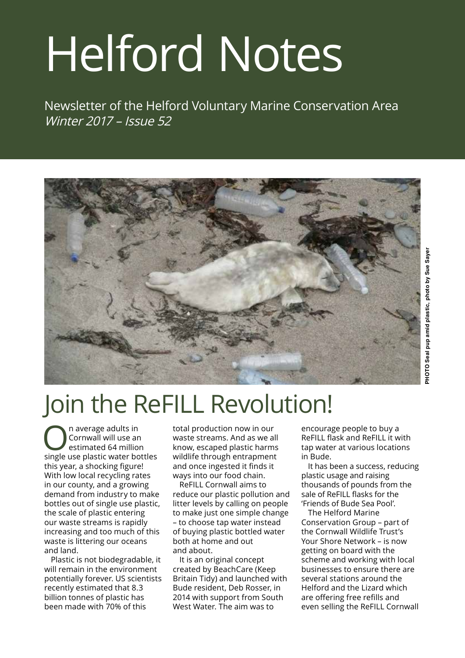# Helford Notes

Newsletter of the Helford Voluntary Marine Conservation Area Winter 2017 – Issue 52



# Join the ReFILL Revolution!

On average adults in<br>
Cornwall will use an<br>
estimated 64 million Cornwall will use an estimated 64 million single use plastic water bottles this year, a shocking figure! With low local recycling rates in our county, and a growing demand from industry to make bottles out of single use plastic, the scale of plastic entering our waste streams is rapidly increasing and too much of this waste is littering our oceans and land.

Plastic is not biodegradable, it will remain in the environment potentially forever. US scientists recently estimated that 8.3 billion tonnes of plastic has been made with 70% of this

total production now in our waste streams. And as we all know, escaped plastic harms wildlife through entrapment and once ingested it finds it ways into our food chain.

ReFILL Cornwall aims to reduce our plastic pollution and litter levels by calling on people to make just one simple change – to choose tap water instead of buying plastic bottled water both at home and out and about.

It is an original concept created by BeachCare (Keep Britain Tidy) and launched with Bude resident, Deb Rosser, in 2014 with support from South West Water. The aim was to

encourage people to buy a ReFILL flask and ReFILL it with tap water at various locations in Bude.

It has been a success, reducing plastic usage and raising thousands of pounds from the sale of ReFILL flasks for the 'Friends of Bude Sea Pool'.

The Helford Marine Conservation Group – part of the Cornwall Wildlife Trust's Your Shore Network – is now getting on board with the scheme and working with local businesses to ensure there are several stations around the Helford and the Lizard which are offering free refills and even selling the ReFILL Cornwall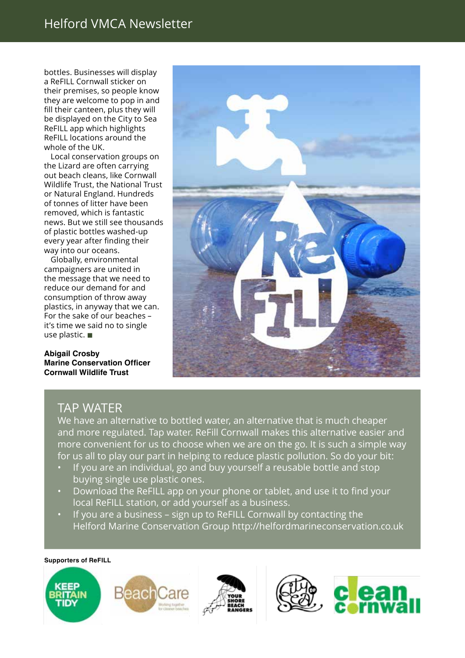#### Helford VMCA Newsletter

bottles. Businesses will display a ReFILL Cornwall sticker on their premises, so people know they are welcome to pop in and fill their canteen, plus they will be displayed on the City to Sea ReFILL app which highlights ReFILL locations around the whole of the UK.

Local conservation groups on the Lizard are often carrying out beach cleans, like Cornwall Wildlife Trust, the National Trust or Natural England. Hundreds of tonnes of litter have been removed, which is fantastic news. But we still see thousands of plastic bottles washed-up every year after finding their way into our oceans.

Globally, environmental campaigners are united in the message that we need to reduce our demand for and consumption of throw away plastics, in anyway that we can. For the sake of our beaches – it's time we said no to single use plastic.  $\blacksquare$ 

**Abigail Crosby Marine Conservation Officer Cornwall Wildlife Trust**



#### TAP WATER

We have an alternative to bottled water, an alternative that is much cheaper and more regulated. Tap water. ReFill Cornwall makes this alternative easier and more convenient for us to choose when we are on the go. It is such a simple way for us all to play our part in helping to reduce plastic pollution. So do your bit:

- If you are an individual, go and buy yourself a reusable bottle and stop buying single use plastic ones.
- Download the ReFILL app on your phone or tablet, and use it to find your local ReFILL station, or add yourself as a business.
- If you are a business sign up to ReFILL Cornwall by contacting the Helford Marine Conservation Group http://helfordmarineconservation.co.uk

#### **Supporters of ReFILL**





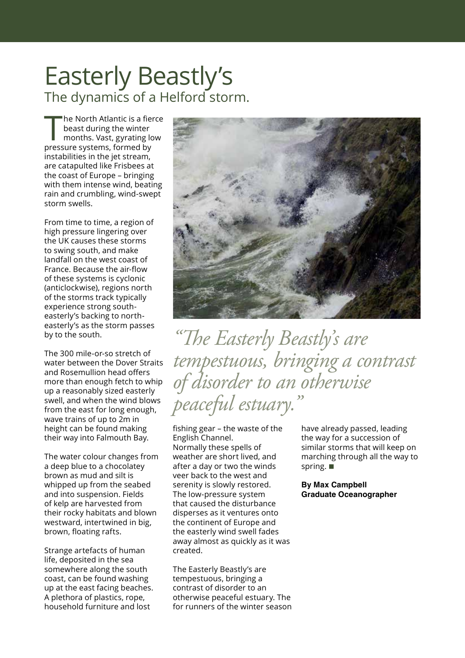### Easterly Beastly's The dynamics of a Helford storm.

The North Atlantic is a fierce beast during the winter months. Vast, gyrating low pressure systems, formed by instabilities in the jet stream, are catapulted like Frisbees at the coast of Europe – bringing with them intense wind, beating rain and crumbling, wind-swept storm swells.

From time to time, a region of high pressure lingering over the UK causes these storms to swing south, and make landfall on the west coast of France. Because the air-flow of these systems is cyclonic (anticlockwise), regions north of the storms track typically experience strong southeasterly's backing to northeasterly's as the storm passes by to the south.

The 300 mile-or-so stretch of water between the Dover Straits and Rosemullion head offers more than enough fetch to whip up a reasonably sized easterly swell, and when the wind blows from the east for long enough, wave trains of up to 2m in height can be found making their way into Falmouth Bay.

The water colour changes from a deep blue to a chocolatey brown as mud and silt is whipped up from the seabed and into suspension. Fields of kelp are harvested from their rocky habitats and blown westward, intertwined in big, brown, floating rafts.

Strange artefacts of human life, deposited in the sea somewhere along the south coast, can be found washing up at the east facing beaches. A plethora of plastics, rope, household furniture and lost



*"The Easterly Beastly's are tempestuous, bringing a contrast of disorder to an otherwise peaceful estuary."* 

fishing gear – the waste of the English Channel. Normally these spells of weather are short lived, and after a day or two the winds veer back to the west and serenity is slowly restored. The low-pressure system that caused the disturbance disperses as it ventures onto the continent of Europe and the easterly wind swell fades away almost as quickly as it was created.

The Easterly Beastly's are tempestuous, bringing a contrast of disorder to an otherwise peaceful estuary. The for runners of the winter season have already passed, leading the way for a succession of similar storms that will keep on marching through all the way to spring.  $\blacksquare$ 

**By Max Campbell Graduate Oceanographer**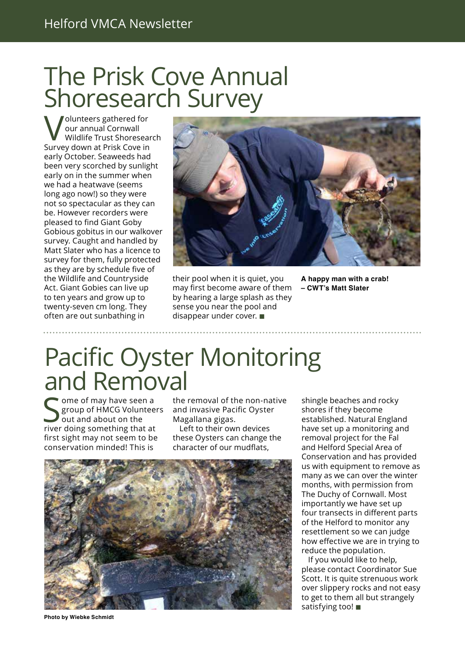## The Prisk Cove Annual Shoresearch Survey

Volunteers gathered for our annual Cornwall Wildlife Trust Shoresearch Survey down at Prisk Cove in early October. Seaweeds had been very scorched by sunlight early on in the summer when we had a heatwave (seems long ago now!) so they were not so spectacular as they can be. However recorders were pleased to find Giant Goby Gobious gobitus in our walkover survey. Caught and handled by Matt Slater who has a licence to survey for them, fully protected as they are by schedule five of the Wildlife and Countryside Act. Giant Gobies can live up to ten years and grow up to twenty-seven cm long. They often are out sunbathing in



their pool when it is quiet, you may first become aware of them by hearing a large splash as they sense you near the pool and disappear under cover.  $\blacksquare$ 

**A happy man with a crab! – CWT's Matt Slater**

# Pacific Oyster Monitoring and Removal

 $\blacksquare$  ome of may have seen a group of HMCG Volunteers out and about on the river doing something that at first sight may not seem to be conservation minded! This is

the removal of the non-native and invasive Pacific Oyster Magallana gigas.

Left to their own devices these Oysters can change the character of our mudflats,



**Photo by Wiebke Schmidt** 

shingle beaches and rocky shores if they become established. Natural England have set up a monitoring and removal project for the Fal and Helford Special Area of Conservation and has provided us with equipment to remove as many as we can over the winter months, with permission from The Duchy of Cornwall. Most importantly we have set up four transects in different parts of the Helford to monitor any resettlement so we can judge how effective we are in trying to reduce the population.

If you would like to help, please contact Coordinator Sue Scott. It is quite strenuous work over slippery rocks and not easy to get to them all but strangely satisfying too! $\blacksquare$